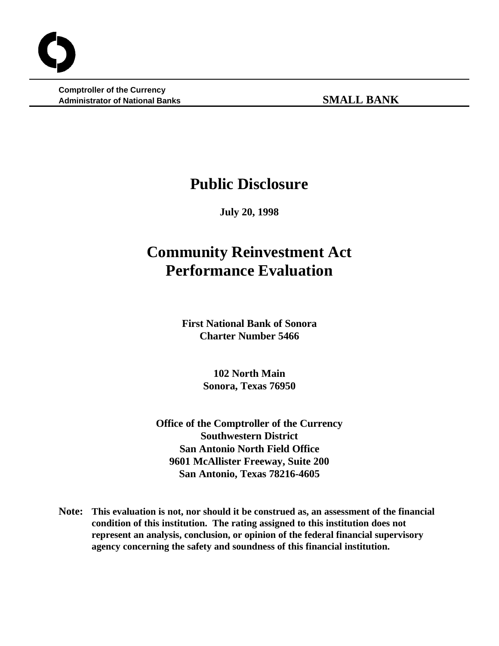**Comptroller of the Currency Administrator of National Banks SMALL BANK**

## **Public Disclosure**

**July 20, 1998**

# **Community Reinvestment Act Performance Evaluation**

**First National Bank of Sonora Charter Number 5466**

> **102 North Main Sonora, Texas 76950**

**Office of the Comptroller of the Currency Southwestern District San Antonio North Field Office 9601 McAllister Freeway, Suite 200 San Antonio, Texas 78216-4605**

**Note: This evaluation is not, nor should it be construed as, an assessment of the financial condition of this institution. The rating assigned to this institution does not represent an analysis, conclusion, or opinion of the federal financial supervisory agency concerning the safety and soundness of this financial institution.**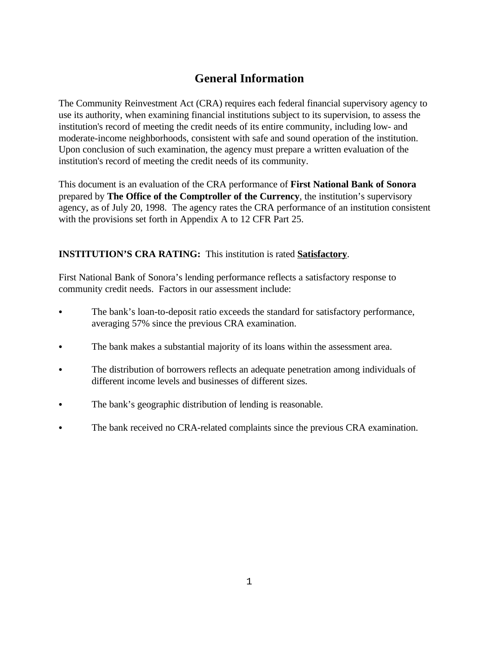## **General Information**

The Community Reinvestment Act (CRA) requires each federal financial supervisory agency to use its authority, when examining financial institutions subject to its supervision, to assess the institution's record of meeting the credit needs of its entire community, including low- and moderate-income neighborhoods, consistent with safe and sound operation of the institution. Upon conclusion of such examination, the agency must prepare a written evaluation of the institution's record of meeting the credit needs of its community.

This document is an evaluation of the CRA performance of **First National Bank of Sonora** prepared by **The Office of the Comptroller of the Currency**, the institution's supervisory agency, as of July 20, 1998. The agency rates the CRA performance of an institution consistent with the provisions set forth in Appendix A to 12 CFR Part 25.

## **INSTITUTION'S CRA RATING:** This institution is rated **Satisfactory**.

First National Bank of Sonora's lending performance reflects a satisfactory response to community credit needs. Factors in our assessment include:

- The bank's loan-to-deposit ratio exceeds the standard for satisfactory performance, averaging 57% since the previous CRA examination.
- The bank makes a substantial majority of its loans within the assessment area.
- The distribution of borrowers reflects an adequate penetration among individuals of different income levels and businesses of different sizes.
- The bank's geographic distribution of lending is reasonable.
- The bank received no CRA-related complaints since the previous CRA examination.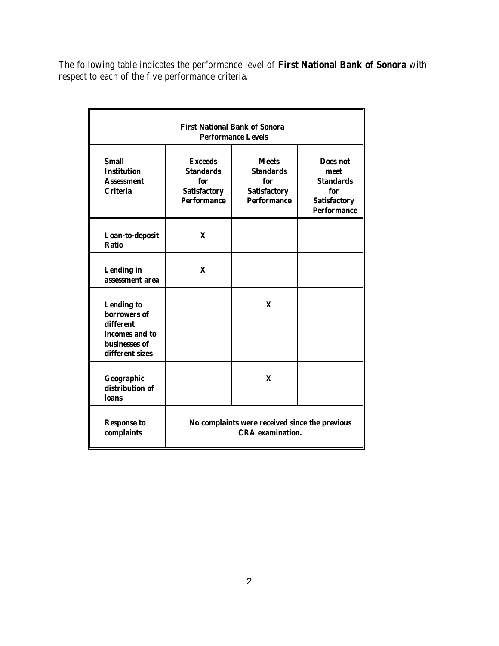The following table indicates the performance level of **First National Bank of Sonora** with respect to each of the five performance criteria.

| <b>First National Bank of Sonora</b><br><b>Performance Levels</b>                                    |                                                                                        |                                                                                      |                                                                                                 |  |  |
|------------------------------------------------------------------------------------------------------|----------------------------------------------------------------------------------------|--------------------------------------------------------------------------------------|-------------------------------------------------------------------------------------------------|--|--|
| <b>Small</b><br><b>Institution</b><br><b>Assessment</b><br><b>Criteria</b>                           | <b>Exceeds</b><br><b>Standards</b><br>for<br><b>Satisfactory</b><br><b>Performance</b> | <b>Meets</b><br><b>Standards</b><br>for<br><b>Satisfactory</b><br><b>Performance</b> | <b>Does not</b><br>meet<br><b>Standards</b><br>for<br><b>Satisfactory</b><br><b>Performance</b> |  |  |
| Loan-to-deposit<br><b>Ratio</b>                                                                      | X                                                                                      |                                                                                      |                                                                                                 |  |  |
| <b>Lending</b> in<br>assessment area                                                                 | $\mathbf{X}$                                                                           |                                                                                      |                                                                                                 |  |  |
| <b>Lending to</b><br>borrowers of<br>different<br>incomes and to<br>businesses of<br>different sizes |                                                                                        | $\mathbf{x}$                                                                         |                                                                                                 |  |  |
| Geographic<br>distribution of<br>loans                                                               |                                                                                        | $\mathbf{x}$                                                                         |                                                                                                 |  |  |
| <b>Response to</b><br>complaints                                                                     | No complaints were received since the previous<br><b>CRA</b> examination.              |                                                                                      |                                                                                                 |  |  |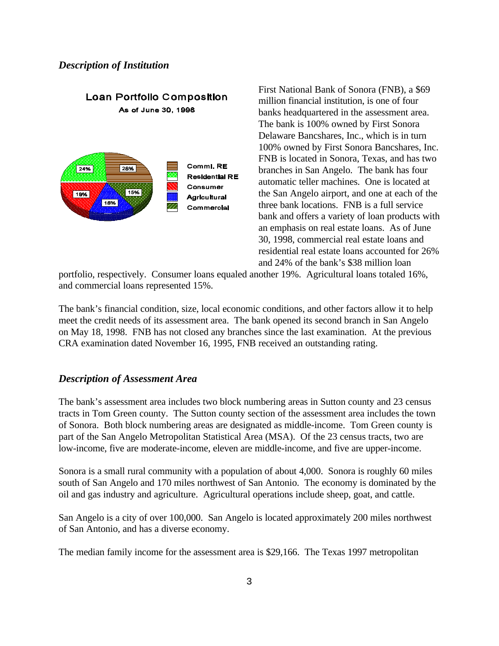### *Description of Institution*



First National Bank of Sonora (FNB), a \$69 million financial institution, is one of four banks headquartered in the assessment area. The bank is 100% owned by First Sonora Delaware Bancshares, Inc., which is in turn 100% owned by First Sonora Bancshares, Inc. FNB is located in Sonora, Texas, and has two branches in San Angelo. The bank has four automatic teller machines. One is located at the San Angelo airport, and one at each of the three bank locations. FNB is a full service bank and offers a variety of loan products with an emphasis on real estate loans. As of June 30, 1998, commercial real estate loans and residential real estate loans accounted for 26% and 24% of the bank's \$38 million loan

portfolio, respectively. Consumer loans equaled another 19%. Agricultural loans totaled 16%, and commercial loans represented 15%.

The bank's financial condition, size, local economic conditions, and other factors allow it to help meet the credit needs of its assessment area. The bank opened its second branch in San Angelo on May 18, 1998. FNB has not closed any branches since the last examination. At the previous CRA examination dated November 16, 1995, FNB received an outstanding rating.

## *Description of Assessment Area*

The bank's assessment area includes two block numbering areas in Sutton county and 23 census tracts in Tom Green county. The Sutton county section of the assessment area includes the town of Sonora. Both block numbering areas are designated as middle-income. Tom Green county is part of the San Angelo Metropolitan Statistical Area (MSA). Of the 23 census tracts, two are low-income, five are moderate-income, eleven are middle-income, and five are upper-income.

Sonora is a small rural community with a population of about 4,000. Sonora is roughly 60 miles south of San Angelo and 170 miles northwest of San Antonio. The economy is dominated by the oil and gas industry and agriculture. Agricultural operations include sheep, goat, and cattle.

San Angelo is a city of over 100,000. San Angelo is located approximately 200 miles northwest of San Antonio, and has a diverse economy.

The median family income for the assessment area is \$29,166. The Texas 1997 metropolitan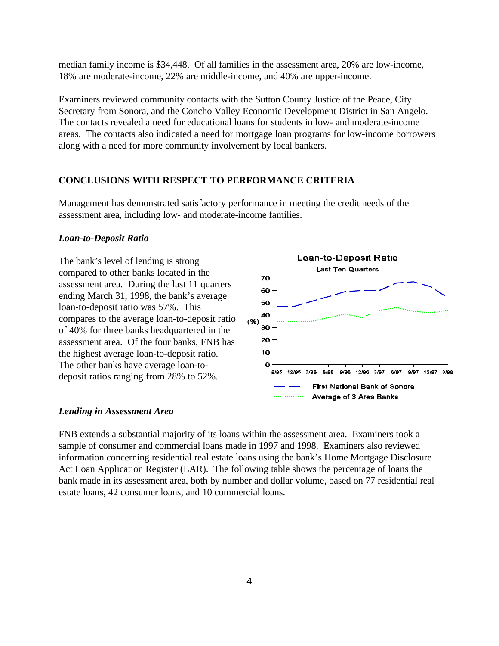median family income is \$34,448. Of all families in the assessment area, 20% are low-income, 18% are moderate-income, 22% are middle-income, and 40% are upper-income.

Examiners reviewed community contacts with the Sutton County Justice of the Peace, City Secretary from Sonora, and the Concho Valley Economic Development District in San Angelo. The contacts revealed a need for educational loans for students in low- and moderate-income areas. The contacts also indicated a need for mortgage loan programs for low-income borrowers along with a need for more community involvement by local bankers.

## **CONCLUSIONS WITH RESPECT TO PERFORMANCE CRITERIA**

Management has demonstrated satisfactory performance in meeting the credit needs of the assessment area, including low- and moderate-income families.

#### *Loan-to-Deposit Ratio*

The bank's level of lending is strong compared to other banks located in the assessment area. During the last 11 quarters ending March 31, 1998, the bank's average loan-to-deposit ratio was 57%. This compares to the average loan-to-deposit ratio of 40% for three banks headquartered in the assessment area. Of the four banks, FNB has the highest average loan-to-deposit ratio. The other banks have average loan-todeposit ratios ranging from 28% to 52%.



#### *Lending in Assessment Area*

FNB extends a substantial majority of its loans within the assessment area. Examiners took a sample of consumer and commercial loans made in 1997 and 1998. Examiners also reviewed information concerning residential real estate loans using the bank's Home Mortgage Disclosure Act Loan Application Register (LAR). The following table shows the percentage of loans the bank made in its assessment area, both by number and dollar volume, based on 77 residential real estate loans, 42 consumer loans, and 10 commercial loans.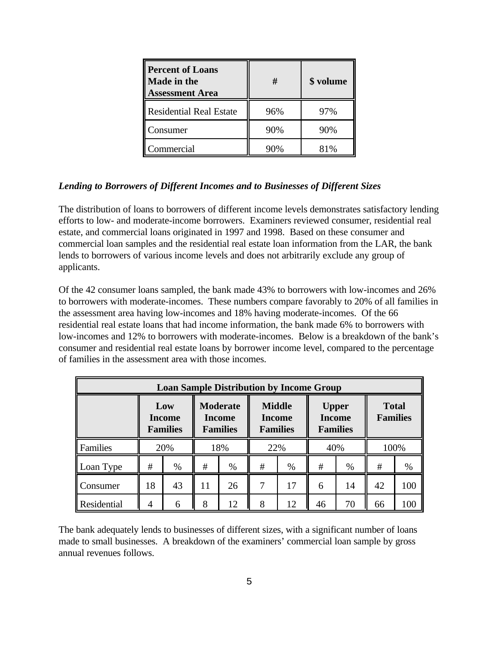| <b>Percent of Loans</b><br><b>Made in the</b><br><b>Assessment Area</b> | #   | \$ volume |  |  |
|-------------------------------------------------------------------------|-----|-----------|--|--|
| <b>Residential Real Estate</b>                                          | 96% | 97%       |  |  |
| Consumer                                                                | 90% | 90%       |  |  |
| Commercial                                                              |     |           |  |  |

## *Lending to Borrowers of Different Incomes and to Businesses of Different Sizes*

The distribution of loans to borrowers of different income levels demonstrates satisfactory lending efforts to low- and moderate-income borrowers. Examiners reviewed consumer, residential real estate, and commercial loans originated in 1997 and 1998. Based on these consumer and commercial loan samples and the residential real estate loan information from the LAR, the bank lends to borrowers of various income levels and does not arbitrarily exclude any group of applicants.

Of the 42 consumer loans sampled, the bank made 43% to borrowers with low-incomes and 26% to borrowers with moderate-incomes. These numbers compare favorably to 20% of all families in the assessment area having low-incomes and 18% having moderate-incomes. Of the 66 residential real estate loans that had income information, the bank made 6% to borrowers with low-incomes and 12% to borrowers with moderate-incomes. Below is a breakdown of the bank's consumer and residential real estate loans by borrower income level, compared to the percentage of families in the assessment area with those incomes.

| <b>Loan Sample Distribution by Income Group</b> |    |                                         |                                                                                                          |      |                                                  |      |                                 |      |    |     |
|-------------------------------------------------|----|-----------------------------------------|----------------------------------------------------------------------------------------------------------|------|--------------------------------------------------|------|---------------------------------|------|----|-----|
|                                                 |    | Low<br><b>Income</b><br><b>Families</b> | <b>Middle</b><br><b>Moderate</b><br><b>Income</b><br><b>Income</b><br><b>Families</b><br><b>Families</b> |      | <b>Upper</b><br><b>Income</b><br><b>Families</b> |      | <b>Total</b><br><b>Families</b> |      |    |     |
| Families                                        |    | 20%                                     | 18%                                                                                                      |      | 40%<br>22%                                       |      |                                 | 100% |    |     |
| Loan Type                                       | #  | $\%$                                    | #                                                                                                        | $\%$ | #                                                | $\%$ | #                               | $\%$ | #  | %   |
| Consumer                                        | 18 | 43                                      | 11                                                                                                       | 26   | 7                                                | 17   | 6                               | 14   | 42 | 100 |
| Residential                                     | 4  | 6                                       | 8                                                                                                        | 12   | 8                                                | 12   | 46                              | 70   | 66 | 100 |

The bank adequately lends to businesses of different sizes, with a significant number of loans made to small businesses. A breakdown of the examiners' commercial loan sample by gross annual revenues follows.